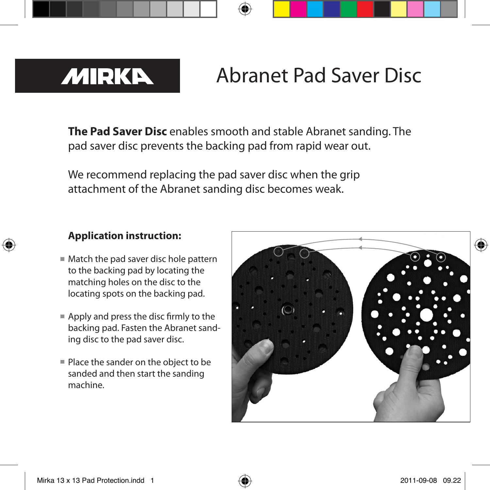

# Abranet Pad Saver Disc

**The Pad Saver Disc** enables smooth and stable Abranet sanding. The pad saver disc prevents the backing pad from rapid wear out.

We recommend replacing the pad saver disc when the grip attachment of the Abranet sanding disc becomes weak.

### **Application instruction:**

- Match the pad saver disc hole pattern to the backing pad by locating the matching holes on the disc to the locating spots on the backing pad.
- Apply and press the disc firmly to the backing pad. Fasten the Abranet sanding disc to the pad saver disc.
- $\blacksquare$  Place the sander on the object to be sanded and then start the sanding machine.